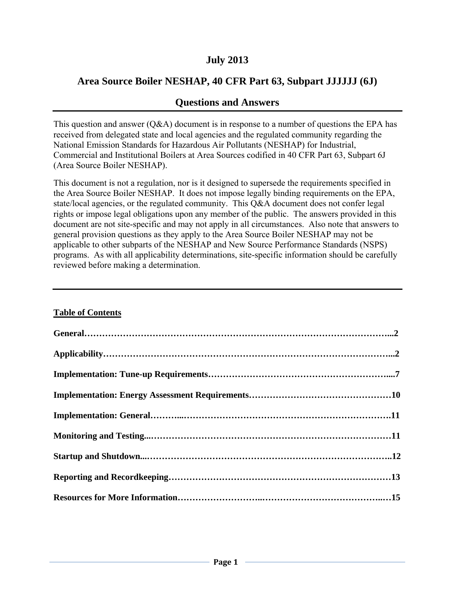# **July 2013**

# **Area Source Boiler NESHAP, 40 CFR Part 63, Subpart JJJJJJ (6J)**

# **Questions and Answers**

This question and answer  $(Q&A)$  document is in response to a number of questions the EPA has received from delegated state and local agencies and the regulated community regarding the National Emission Standards for Hazardous Air Pollutants (NESHAP) for Industrial, Commercial and Institutional Boilers at Area Sources codified in 40 CFR Part 63, Subpart 6J (Area Source Boiler NESHAP).

This document is not a regulation, nor is it designed to supersede the requirements specified in the Area Source Boiler NESHAP. It does not impose legally binding requirements on the EPA, state/local agencies, or the regulated community. This Q&A document does not confer legal rights or impose legal obligations upon any member of the public. The answers provided in this document are not site-specific and may not apply in all circumstances. Also note that answers to general provision questions as they apply to the Area Source Boiler NESHAP may not be applicable to other subparts of the NESHAP and New Source Performance Standards (NSPS) programs. As with all applicability determinations, site-specific information should be carefully reviewed before making a determination.

#### **Table of Contents**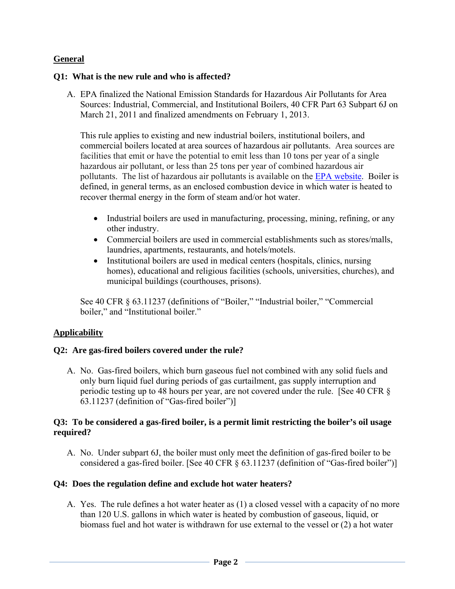## **General**

#### **Q1: What is the new rule and who is affected?**

A. EPA finalized the National Emission Standards for Hazardous Air Pollutants for Area Sources: Industrial, Commercial, and Institutional Boilers, 40 CFR Part 63 Subpart 6J on March 21, 2011 and finalized amendments on February 1, 2013.

This rule applies to existing and new industrial boilers, institutional boilers, and commercial boilers located at area sources of hazardous air pollutants. Area sources are facilities that emit or have the potential to emit less than 10 tons per year of a single hazardous air pollutant, or less than 25 tons per year of combined hazardous air pollutants. The list of hazardous air pollutants is available on the EPA website. Boiler is defined, in general terms, as an enclosed combustion device in which water is heated to recover thermal energy in the form of steam and/or hot water.

- Industrial boilers are used in manufacturing, processing, mining, refining, or any other industry.
- Commercial boilers are used in commercial establishments such as stores/malls, laundries, apartments, restaurants, and hotels/motels.
- Institutional boilers are used in medical centers (hospitals, clinics, nursing homes), educational and religious facilities (schools, universities, churches), and municipal buildings (courthouses, prisons).

See 40 CFR § 63.11237 (definitions of "Boiler," "Industrial boiler," "Commercial boiler," and "Institutional boiler."

### **Applicability**

### **Q2: Are gas-fired boilers covered under the rule?**

A. No. Gas-fired boilers, which burn gaseous fuel not combined with any solid fuels and only burn liquid fuel during periods of gas curtailment, gas supply interruption and periodic testing up to 48 hours per year, are not covered under the rule. [See 40 CFR § 63.11237 (definition of "Gas-fired boiler")]

#### **Q3: To be considered a gas-fired boiler, is a permit limit restricting the boiler's oil usage required?**

A. No. Under subpart 6J, the boiler must only meet the definition of gas-fired boiler to be considered a gas-fired boiler. [See 40 CFR § 63.11237 (definition of "Gas-fired boiler")]

### **Q4: Does the regulation define and exclude hot water heaters?**

A. Yes. The rule defines a hot water heater as (1) a closed vessel with a capacity of no more than 120 U.S. gallons in which water is heated by combustion of gaseous, liquid, or biomass fuel and hot water is withdrawn for use external to the vessel or (2) a hot water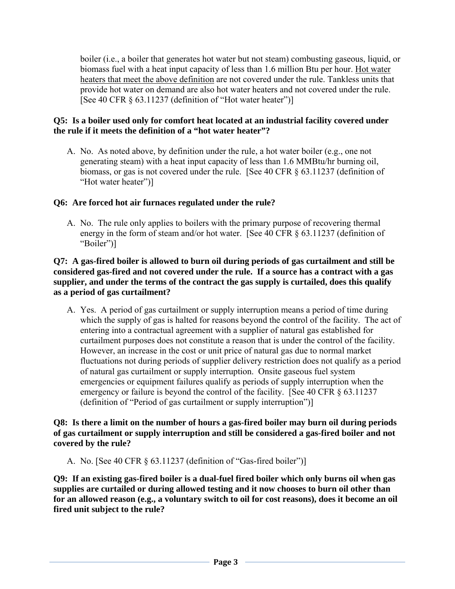boiler (i.e., a boiler that generates hot water but not steam) combusting gaseous, liquid, or biomass fuel with a heat input capacity of less than 1.6 million Btu per hour. Hot water heaters that meet the above definition are not covered under the rule. Tankless units that provide hot water on demand are also hot water heaters and not covered under the rule. [See 40 CFR  $\S$  63.11237 (definition of "Hot water heater")]

### **Q5: Is a boiler used only for comfort heat located at an industrial facility covered under the rule if it meets the definition of a "hot water heater"?**

A. No. As noted above, by definition under the rule, a hot water boiler (e.g., one not generating steam) with a heat input capacity of less than 1.6 MMBtu/hr burning oil, biomass, or gas is not covered under the rule. [See 40 CFR § 63.11237 (definition of "Hot water heater")]

## **Q6: Are forced hot air furnaces regulated under the rule?**

A. No. The rule only applies to boilers with the primary purpose of recovering thermal energy in the form of steam and/or hot water. [See 40 CFR § 63.11237 (definition of "Boiler")]

#### **Q7: A gas-fired boiler is allowed to burn oil during periods of gas curtailment and still be considered gas-fired and not covered under the rule. If a source has a contract with a gas supplier, and under the terms of the contract the gas supply is curtailed, does this qualify as a period of gas curtailment?**

A. Yes. A period of gas curtailment or supply interruption means a period of time during which the supply of gas is halted for reasons beyond the control of the facility. The act of entering into a contractual agreement with a supplier of natural gas established for curtailment purposes does not constitute a reason that is under the control of the facility. However, an increase in the cost or unit price of natural gas due to normal market fluctuations not during periods of supplier delivery restriction does not qualify as a period of natural gas curtailment or supply interruption. Onsite gaseous fuel system emergencies or equipment failures qualify as periods of supply interruption when the emergency or failure is beyond the control of the facility. [See 40 CFR  $\S$  63.11237] (definition of "Period of gas curtailment or supply interruption")]

**Q8: Is there a limit on the number of hours a gas-fired boiler may burn oil during periods of gas curtailment or supply interruption and still be considered a gas-fired boiler and not covered by the rule?** 

A. No. [See 40 CFR § 63.11237 (definition of "Gas-fired boiler")]

**Q9: If an existing gas-fired boiler is a dual-fuel fired boiler which only burns oil when gas supplies are curtailed or during allowed testing and it now chooses to burn oil other than for an allowed reason (e.g., a voluntary switch to oil for cost reasons), does it become an oil fired unit subject to the rule?**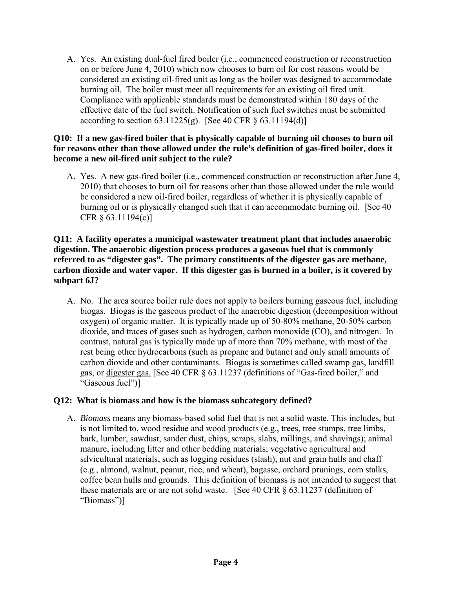A. Yes. An existing dual-fuel fired boiler (i.e., commenced construction or reconstruction on or before June 4, 2010) which now chooses to burn oil for cost reasons would be considered an existing oil-fired unit as long as the boiler was designed to accommodate burning oil. The boiler must meet all requirements for an existing oil fired unit. Compliance with applicable standards must be demonstrated within 180 days of the effective date of the fuel switch. Notification of such fuel switches must be submitted according to section  $63.11225(g)$ . [See 40 CFR §  $63.11194(d)$ ]

#### **Q10: If a new gas-fired boiler that is physically capable of burning oil chooses to burn oil for reasons other than those allowed under the rule's definition of gas-fired boiler, does it become a new oil-fired unit subject to the rule?**

A. Yes. A new gas-fired boiler (i.e., commenced construction or reconstruction after June 4, 2010) that chooses to burn oil for reasons other than those allowed under the rule would be considered a new oil-fired boiler, regardless of whether it is physically capable of burning oil or is physically changed such that it can accommodate burning oil. [See 40 CFR § 63.11194(c)]

### **Q11: A facility operates a municipal wastewater treatment plant that includes anaerobic digestion. The anaerobic digestion process produces a gaseous fuel that is commonly referred to as "digester gas". The primary constituents of the digester gas are methane, carbon dioxide and water vapor. If this digester gas is burned in a boiler, is it covered by subpart 6J?**

A. No. The area source boiler rule does not apply to boilers burning gaseous fuel, including biogas. Biogas is the gaseous product of the anaerobic digestion (decomposition without oxygen) of organic matter. It is typically made up of 50-80% methane, 20-50% carbon dioxide, and traces of gases such as hydrogen, carbon monoxide (CO), and nitrogen. In contrast, natural gas is typically made up of more than 70% methane, with most of the rest being other hydrocarbons (such as propane and butane) and only small amounts of carbon dioxide and other contaminants. Biogas is sometimes called swamp gas, landfill gas, or digester gas. [See 40 CFR § 63.11237 (definitions of "Gas-fired boiler," and "Gaseous fuel")]

### **Q12: What is biomass and how is the biomass subcategory defined?**

A. *Biomass* means any biomass-based solid fuel that is not a solid waste. This includes, but is not limited to, wood residue and wood products (e.g., trees, tree stumps, tree limbs, bark, lumber, sawdust, sander dust, chips, scraps, slabs, millings, and shavings); animal manure, including litter and other bedding materials; vegetative agricultural and silvicultural materials, such as logging residues (slash), nut and grain hulls and chaff (e.g., almond, walnut, peanut, rice, and wheat), bagasse, orchard prunings, corn stalks, coffee bean hulls and grounds. This definition of biomass is not intended to suggest that these materials are or are not solid waste. [See 40 CFR § 63.11237 (definition of "Biomass")]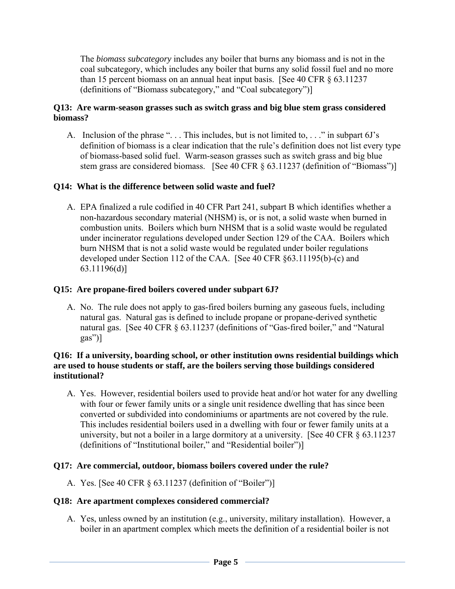The *biomass subcategory* includes any boiler that burns any biomass and is not in the coal subcategory, which includes any boiler that burns any solid fossil fuel and no more than 15 percent biomass on an annual heat input basis. [See 40 CFR § 63.11237 (definitions of "Biomass subcategory," and "Coal subcategory")]

### **Q13: Are warm-season grasses such as switch grass and big blue stem grass considered biomass?**

A. Inclusion of the phrase "... This includes, but is not limited to, ..." in subpart 6J's definition of biomass is a clear indication that the rule's definition does not list every type of biomass-based solid fuel. Warm-season grasses such as switch grass and big blue stem grass are considered biomass. [See 40 CFR § 63.11237 (definition of "Biomass")]

# **Q14: What is the difference between solid waste and fuel?**

A. EPA finalized a rule codified in 40 CFR Part 241, subpart B which identifies whether a non-hazardous secondary material (NHSM) is, or is not, a solid waste when burned in combustion units. Boilers which burn NHSM that is a solid waste would be regulated under incinerator regulations developed under Section 129 of the CAA. Boilers which burn NHSM that is not a solid waste would be regulated under boiler regulations developed under Section 112 of the CAA. [See 40 CFR §63.11195(b)-(c) and 63.11196(d)]

### **Q15: Are propane-fired boilers covered under subpart 6J?**

A. No. The rule does not apply to gas-fired boilers burning any gaseous fuels, including natural gas. Natural gas is defined to include propane or propane-derived synthetic natural gas. [See 40 CFR § 63.11237 (definitions of "Gas-fired boiler," and "Natural gas")]

#### **Q16: If a university, boarding school, or other institution owns residential buildings which are used to house students or staff, are the boilers serving those buildings considered institutional?**

A. Yes. However, residential boilers used to provide heat and/or hot water for any dwelling with four or fewer family units or a single unit residence dwelling that has since been converted or subdivided into condominiums or apartments are not covered by the rule. This includes residential boilers used in a dwelling with four or fewer family units at a university, but not a boiler in a large dormitory at a university. [See 40 CFR § 63.11237 (definitions of "Institutional boiler," and "Residential boiler")]

### **Q17: Are commercial, outdoor, biomass boilers covered under the rule?**

A. Yes. [See 40 CFR § 63.11237 (definition of "Boiler")]

### **Q18: Are apartment complexes considered commercial?**

A. Yes, unless owned by an institution (e.g., university, military installation). However, a boiler in an apartment complex which meets the definition of a residential boiler is not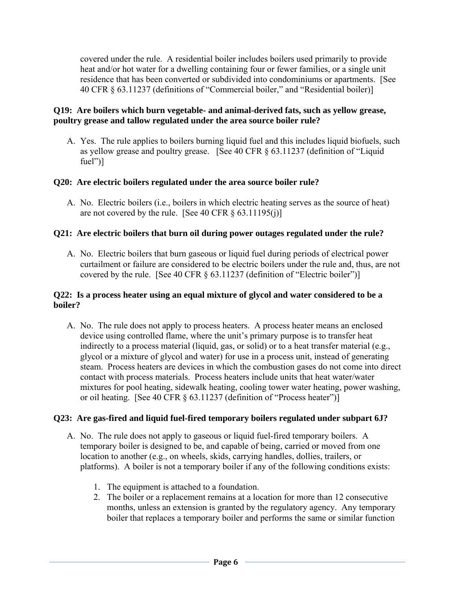covered under the rule. A residential boiler includes boilers used primarily to provide heat and/or hot water for a dwelling containing four or fewer families, or a single unit residence that has been converted or subdivided into condominiums or apartments. [See 40 CFR § 63.11237 (definitions of "Commercial boiler," and "Residential boiler)]

### **Q19: Are boilers which burn vegetable- and animal-derived fats, such as yellow grease, poultry grease and tallow regulated under the area source boiler rule?**

A. Yes. The rule applies to boilers burning liquid fuel and this includes liquid biofuels, such as yellow grease and poultry grease. [See 40 CFR § 63.11237 (definition of "Liquid fuel")]

### **Q20: Are electric boilers regulated under the area source boiler rule?**

A. No. Electric boilers (i.e., boilers in which electric heating serves as the source of heat) are not covered by the rule. [See 40 CFR  $\S$  63.11195(j)]

#### **Q21: Are electric boilers that burn oil during power outages regulated under the rule?**

A. No. Electric boilers that burn gaseous or liquid fuel during periods of electrical power curtailment or failure are considered to be electric boilers under the rule and, thus, are not covered by the rule. [See 40 CFR § 63.11237 (definition of "Electric boiler")]

#### **Q22: Is a process heater using an equal mixture of glycol and water considered to be a boiler?**

A. No. The rule does not apply to process heaters. A process heater means an enclosed device using controlled flame, where the unit's primary purpose is to transfer heat indirectly to a process material (liquid, gas, or solid) or to a heat transfer material (e.g., glycol or a mixture of glycol and water) for use in a process unit, instead of generating steam. Process heaters are devices in which the combustion gases do not come into direct contact with process materials. Process heaters include units that heat water/water mixtures for pool heating, sidewalk heating, cooling tower water heating, power washing, or oil heating. [See 40 CFR § 63.11237 (definition of "Process heater")]

#### **Q23: Are gas-fired and liquid fuel-fired temporary boilers regulated under subpart 6J?**

- A. No. The rule does not apply to gaseous or liquid fuel-fired temporary boilers. A temporary boiler is designed to be, and capable of being, carried or moved from one location to another (e.g., on wheels, skids, carrying handles, dollies, trailers, or platforms). A boiler is not a temporary boiler if any of the following conditions exists:
	- 1. The equipment is attached to a foundation.
	- 2. The boiler or a replacement remains at a location for more than 12 consecutive months, unless an extension is granted by the regulatory agency. Any temporary boiler that replaces a temporary boiler and performs the same or similar function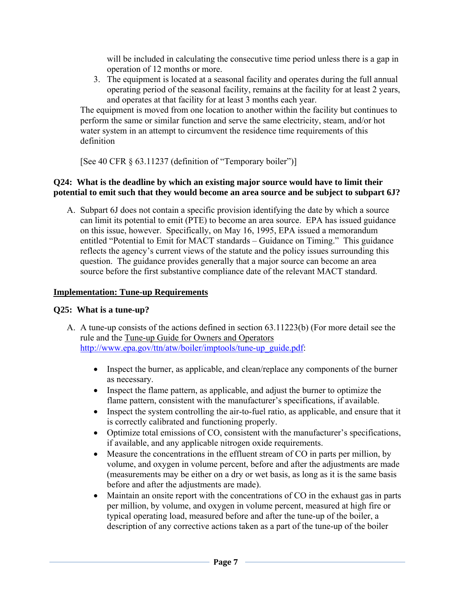will be included in calculating the consecutive time period unless there is a gap in operation of 12 months or more.

3. The equipment is located at a seasonal facility and operates during the full annual operating period of the seasonal facility, remains at the facility for at least 2 years, and operates at that facility for at least 3 months each year.

The equipment is moved from one location to another within the facility but continues to perform the same or similar function and serve the same electricity, steam, and/or hot water system in an attempt to circumvent the residence time requirements of this definition

[See 40 CFR § 63.11237 (definition of "Temporary boiler")]

### **Q24: What is the deadline by which an existing major source would have to limit their potential to emit such that they would become an area source and be subject to subpart 6J?**

A. Subpart 6J does not contain a specific provision identifying the date by which a source can limit its potential to emit (PTE) to become an area source. EPA has issued guidance on this issue, however. Specifically, on May 16, 1995, EPA issued a memorandum entitled "Potential to Emit for MACT standards – Guidance on Timing." This guidance reflects the agency's current views of the statute and the policy issues surrounding this question. The guidance provides generally that a major source can become an area source before the first substantive compliance date of the relevant MACT standard.

# **Implementation: Tune-up Requirements**

# **Q25: What is a tune-up?**

- A. A tune-up consists of the actions defined in section 63.11223(b) (For more detail see the rule and the Tune-up Guide for Owners and Operators http://www.epa.gov/ttn/atw/boiler/imptools/tune-up\_guide.pdf:
	- Inspect the burner, as applicable, and clean/replace any components of the burner as necessary.
	- Inspect the flame pattern, as applicable, and adjust the burner to optimize the flame pattern, consistent with the manufacturer's specifications, if available.
	- Inspect the system controlling the air-to-fuel ratio, as applicable, and ensure that it is correctly calibrated and functioning properly.
	- Optimize total emissions of CO, consistent with the manufacturer's specifications, if available, and any applicable nitrogen oxide requirements.
	- Measure the concentrations in the effluent stream of CO in parts per million, by volume, and oxygen in volume percent, before and after the adjustments are made (measurements may be either on a dry or wet basis, as long as it is the same basis before and after the adjustments are made).
	- Maintain an onsite report with the concentrations of CO in the exhaust gas in parts per million, by volume, and oxygen in volume percent, measured at high fire or typical operating load, measured before and after the tune-up of the boiler, a description of any corrective actions taken as a part of the tune-up of the boiler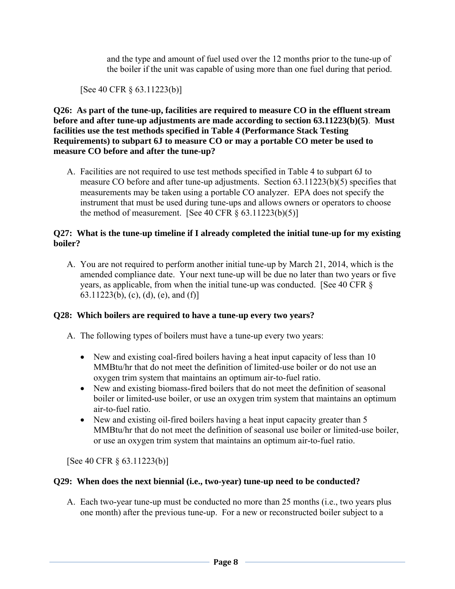and the type and amount of fuel used over the 12 months prior to the tune-up of the boiler if the unit was capable of using more than one fuel during that period.

[See 40 CFR § 63.11223(b)]

**Q26: As part of the tune-up, facilities are required to measure CO in the effluent stream before and after tune-up adjustments are made according to section 63.11223(b)(5)**. **Must facilities use the test methods specified in Table 4 (Performance Stack Testing Requirements) to subpart 6J to measure CO or may a portable CO meter be used to measure CO before and after the tune-up?** 

A. Facilities are not required to use test methods specified in Table 4 to subpart 6J to measure CO before and after tune-up adjustments. Section 63.11223(b)(5) specifies that measurements may be taken using a portable CO analyzer. EPA does not specify the instrument that must be used during tune-ups and allows owners or operators to choose the method of measurement. [See 40 CFR  $\S$  63.11223(b)(5)]

#### **Q27: What is the tune-up timeline if I already completed the initial tune-up for my existing boiler?**

A. You are not required to perform another initial tune-up by March 21, 2014, which is the amended compliance date. Your next tune-up will be due no later than two years or five years, as applicable, from when the initial tune-up was conducted. [See 40 CFR § 63.11223(b), (c), (d), (e), and (f)]

### **Q28: Which boilers are required to have a tune-up every two years?**

- A. The following types of boilers must have a tune-up every two years:
	- New and existing coal-fired boilers having a heat input capacity of less than 10 MMBtu/hr that do not meet the definition of limited-use boiler or do not use an oxygen trim system that maintains an optimum air-to-fuel ratio.
	- New and existing biomass-fired boilers that do not meet the definition of seasonal boiler or limited-use boiler, or use an oxygen trim system that maintains an optimum air-to-fuel ratio.
	- New and existing oil-fired boilers having a heat input capacity greater than 5 MMBtu/hr that do not meet the definition of seasonal use boiler or limited-use boiler, or use an oxygen trim system that maintains an optimum air-to-fuel ratio.

[See 40 CFR § 63.11223(b)]

### **Q29: When does the next biennial (i.e., two-year) tune-up need to be conducted?**

A. Each two-year tune-up must be conducted no more than 25 months (i.e., two years plus one month) after the previous tune-up. For a new or reconstructed boiler subject to a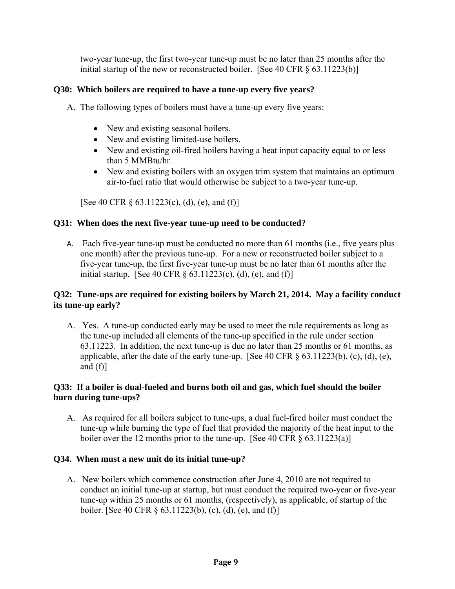two-year tune-up, the first two-year tune-up must be no later than 25 months after the initial startup of the new or reconstructed boiler. [See 40 CFR  $\S$  63.11223(b)]

### **Q30: Which boilers are required to have a tune-up every five years?**

- A. The following types of boilers must have a tune-up every five years:
	- New and existing seasonal boilers.
	- New and existing limited-use boilers.
	- New and existing oil-fired boilers having a heat input capacity equal to or less than 5 MMBtu/hr.
	- New and existing boilers with an oxygen trim system that maintains an optimum air-to-fuel ratio that would otherwise be subject to a two-year tune-up.

[See 40 CFR  $\S$  63.11223(c), (d), (e), and (f)]

### **Q31: When does the next five-year tune-up need to be conducted?**

A. Each five-year tune-up must be conducted no more than 61 months (i.e., five years plus one month) after the previous tune-up. For a new or reconstructed boiler subject to a five-year tune-up, the first five-year tune-up must be no later than 61 months after the initial startup. [See 40 CFR  $\S$  63.11223(c), (d), (e), and (f)]

### **Q32: Tune-ups are required for existing boilers by March 21, 2014. May a facility conduct its tune-up early?**

A. Yes. A tune-up conducted early may be used to meet the rule requirements as long as the tune-up included all elements of the tune-up specified in the rule under section 63.11223. In addition, the next tune-up is due no later than 25 months or 61 months, as applicable, after the date of the early tune-up. [See 40 CFR  $\S$  63.11223(b), (c), (d), (e), and  $(f)$ ]

## **Q33: If a boiler is dual-fueled and burns both oil and gas, which fuel should the boiler burn during tune-ups?**

A. As required for all boilers subject to tune-ups, a dual fuel-fired boiler must conduct the tune-up while burning the type of fuel that provided the majority of the heat input to the boiler over the 12 months prior to the tune-up. [See 40 CFR  $\S$  63.11223(a)]

### **Q34. When must a new unit do its initial tune-up?**

A. New boilers which commence construction after June 4, 2010 are not required to conduct an initial tune-up at startup, but must conduct the required two-year or five-year tune-up within 25 months or 61 months, (respectively), as applicable, of startup of the boiler. [See 40 CFR § 63.11223(b), (c), (d), (e), and (f)]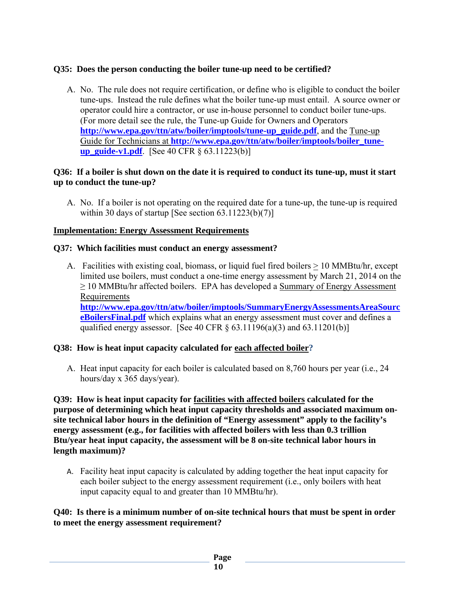## **Q35: Does the person conducting the boiler tune-up need to be certified?**

A. No. The rule does not require certification, or define who is eligible to conduct the boiler tune-ups. Instead the rule defines what the boiler tune-up must entail. A source owner or operator could hire a contractor, or use in-house personnel to conduct boiler tune-ups. (For more detail see the rule, the Tune-up Guide for Owners and Operators **http://www.epa.gov/ttn/atw/boiler/imptools/tune-up\_guide.pdf**, and the Tune-up Guide for Technicians at **http://www.epa.gov/ttn/atw/boiler/imptools/boiler\_tuneup\_guide-v1.pdf**. [See 40 CFR § 63.11223(b)]

### **Q36: If a boiler is shut down on the date it is required to conduct its tune-up, must it start up to conduct the tune-up?**

A. No. If a boiler is not operating on the required date for a tune-up, the tune-up is required within 30 days of startup [See section  $63.11223(b)(7)$ ]

## **Implementation: Energy Assessment Requirements**

### **Q37: Which facilities must conduct an energy assessment?**

A. Facilities with existing coal, biomass, or liquid fuel fired boilers  $\geq 10$  MMBtu/hr, except limited use boilers, must conduct a one-time energy assessment by March 21, 2014 on the  $\geq$  10 MMBtu/hr affected boilers. EPA has developed a Summary of Energy Assessment Requirements **http://www.epa.gov/ttn/atw/boiler/imptools/SummaryEnergyAssessmentsAreaSourc eBoilersFinal.pdf** which explains what an energy assessment must cover and defines a qualified energy assessor. [See 40 CFR  $\S$  63.11196(a)(3) and 63.11201(b)]

### **Q38: How is heat input capacity calculated for each affected boiler?**

A. Heat input capacity for each boiler is calculated based on 8,760 hours per year (i.e., 24 hours/day x 365 days/year).

**Q39: How is heat input capacity for facilities with affected boilers calculated for the purpose of determining which heat input capacity thresholds and associated maximum onsite technical labor hours in the definition of "Energy assessment" apply to the facility's energy assessment (e.g., for facilities with affected boilers with less than 0.3 trillion Btu/year heat input capacity, the assessment will be 8 on-site technical labor hours in length maximum)?** 

A. Facility heat input capacity is calculated by adding together the heat input capacity for each boiler subject to the energy assessment requirement (i.e., only boilers with heat input capacity equal to and greater than 10 MMBtu/hr).

### **Q40: Is there is a minimum number of on-site technical hours that must be spent in order to meet the energy assessment requirement?**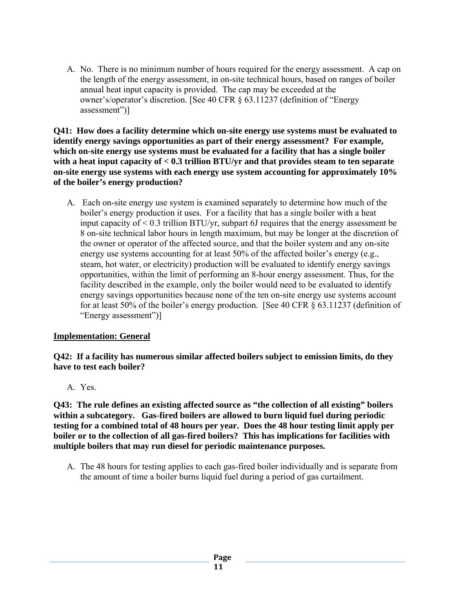A. No. There is no minimum number of hours required for the energy assessment. A cap on the length of the energy assessment, in on-site technical hours, based on ranges of boiler annual heat input capacity is provided. The cap may be exceeded at the owner's/operator's discretion. [See 40 CFR § 63.11237 (definition of "Energy assessment")]

**Q41: How does a facility determine which on-site energy use systems must be evaluated to identify energy savings opportunities as part of their energy assessment? For example, which on-site energy use systems must be evaluated for a facility that has a single boiler with a heat input capacity of < 0.3 trillion BTU/yr and that provides steam to ten separate on-site energy use systems with each energy use system accounting for approximately 10% of the boiler's energy production?** 

A. Each on-site energy use system is examined separately to determine how much of the boiler's energy production it uses. For a facility that has a single boiler with a heat input capacity of < 0.3 trillion BTU/yr, subpart 6J requires that the energy assessment be 8 on-site technical labor hours in length maximum, but may be longer at the discretion of the owner or operator of the affected source, and that the boiler system and any on-site energy use systems accounting for at least 50% of the affected boiler's energy (e.g., steam, hot water, or electricity) production will be evaluated to identify energy savings opportunities, within the limit of performing an 8-hour energy assessment. Thus, for the facility described in the example, only the boiler would need to be evaluated to identify energy savings opportunities because none of the ten on-site energy use systems account for at least 50% of the boiler's energy production. [See 40 CFR § 63.11237 (definition of "Energy assessment")]

### **Implementation: General**

**Q42: If a facility has numerous similar affected boilers subject to emission limits, do they have to test each boiler?** 

A. Yes.

**Q43: The rule defines an existing affected source as "the collection of all existing" boilers within a subcategory. Gas-fired boilers are allowed to burn liquid fuel during periodic testing for a combined total of 48 hours per year. Does the 48 hour testing limit apply per boiler or to the collection of all gas-fired boilers? This has implications for facilities with multiple boilers that may run diesel for periodic maintenance purposes.** 

A. The 48 hours for testing applies to each gas-fired boiler individually and is separate from the amount of time a boiler burns liquid fuel during a period of gas curtailment.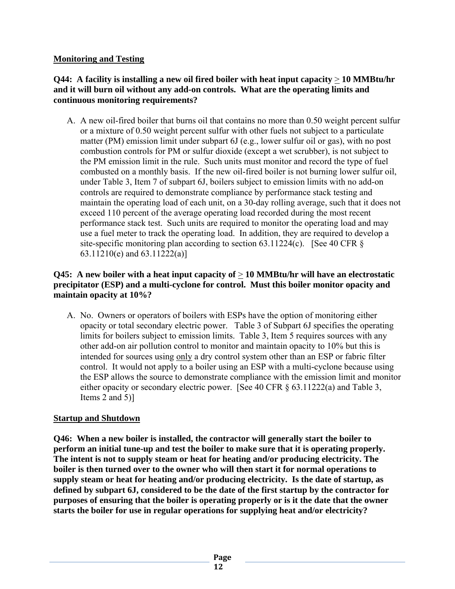### **Monitoring and Testing**

### **Q44: A facility is installing a new oil fired boiler with heat input capacity** > **10 MMBtu/hr and it will burn oil without any add-on controls. What are the operating limits and continuous monitoring requirements?**

A. A new oil-fired boiler that burns oil that contains no more than 0.50 weight percent sulfur or a mixture of 0.50 weight percent sulfur with other fuels not subject to a particulate matter (PM) emission limit under subpart 6J (e.g., lower sulfur oil or gas), with no post combustion controls for PM or sulfur dioxide (except a wet scrubber), is not subject to the PM emission limit in the rule. Such units must monitor and record the type of fuel combusted on a monthly basis. If the new oil-fired boiler is not burning lower sulfur oil, under Table 3, Item 7 of subpart 6J, boilers subject to emission limits with no add-on controls are required to demonstrate compliance by performance stack testing and maintain the operating load of each unit, on a 30-day rolling average, such that it does not exceed 110 percent of the average operating load recorded during the most recent performance stack test. Such units are required to monitor the operating load and may use a fuel meter to track the operating load. In addition, they are required to develop a site-specific monitoring plan according to section 63.11224(c). [See 40 CFR  $\S$ 63.11210(e) and 63.11222(a)]

## **Q45: A new boiler with a heat input capacity of** > **10 MMBtu/hr will have an electrostatic precipitator (ESP) and a multi-cyclone for control. Must this boiler monitor opacity and maintain opacity at 10%?**

A. No. Owners or operators of boilers with ESPs have the option of monitoring either opacity or total secondary electric power. Table 3 of Subpart 6J specifies the operating limits for boilers subject to emission limits. Table 3, Item 5 requires sources with any other add-on air pollution control to monitor and maintain opacity to 10% but this is intended for sources using only a dry control system other than an ESP or fabric filter control. It would not apply to a boiler using an ESP with a multi-cyclone because using the ESP allows the source to demonstrate compliance with the emission limit and monitor either opacity or secondary electric power. [See 40 CFR § 63.11222(a) and Table 3, Items 2 and 5)]

### **Startup and Shutdown**

**Q46: When a new boiler is installed, the contractor will generally start the boiler to perform an initial tune-up and test the boiler to make sure that it is operating properly. The intent is not to supply steam or heat for heating and/or producing electricity. The boiler is then turned over to the owner who will then start it for normal operations to supply steam or heat for heating and/or producing electricity. Is the date of startup, as defined by subpart 6J, considered to be the date of the first startup by the contractor for purposes of ensuring that the boiler is operating properly or is it the date that the owner starts the boiler for use in regular operations for supplying heat and/or electricity?**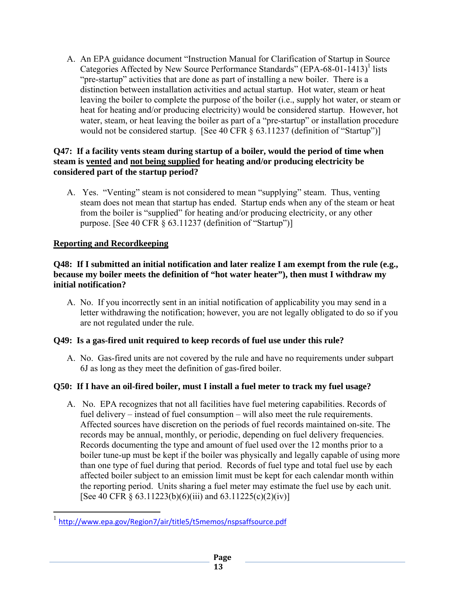A. An EPA guidance document "Instruction Manual for Clarification of Startup in Source Categories Affected by New Source Performance Standards" (EPA-68-01-1413)<sup>1</sup> lists "pre-startup" activities that are done as part of installing a new boiler. There is a distinction between installation activities and actual startup. Hot water, steam or heat leaving the boiler to complete the purpose of the boiler (i.e., supply hot water, or steam or heat for heating and/or producing electricity) would be considered startup. However, hot water, steam, or heat leaving the boiler as part of a "pre-startup" or installation procedure would not be considered startup. [See 40 CFR § 63.11237 (definition of "Startup")]

## **Q47: If a facility vents steam during startup of a boiler, would the period of time when steam is vented and not being supplied for heating and/or producing electricity be considered part of the startup period?**

A. Yes. "Venting" steam is not considered to mean "supplying" steam. Thus, venting steam does not mean that startup has ended. Startup ends when any of the steam or heat from the boiler is "supplied" for heating and/or producing electricity, or any other purpose. [See 40 CFR § 63.11237 (definition of "Startup")]

# **Reporting and Recordkeeping**

### **Q48: If I submitted an initial notification and later realize I am exempt from the rule (e.g., because my boiler meets the definition of "hot water heater"), then must I withdraw my initial notification?**

A. No. If you incorrectly sent in an initial notification of applicability you may send in a letter withdrawing the notification; however, you are not legally obligated to do so if you are not regulated under the rule.

# **Q49: Is a gas-fired unit required to keep records of fuel use under this rule?**

A. No. Gas-fired units are not covered by the rule and have no requirements under subpart 6J as long as they meet the definition of gas-fired boiler.

# **Q50: If I have an oil-fired boiler, must I install a fuel meter to track my fuel usage?**

A. No. EPA recognizes that not all facilities have fuel metering capabilities. Records of fuel delivery – instead of fuel consumption – will also meet the rule requirements. Affected sources have discretion on the periods of fuel records maintained on-site. The records may be annual, monthly, or periodic, depending on fuel delivery frequencies. Records documenting the type and amount of fuel used over the 12 months prior to a boiler tune-up must be kept if the boiler was physically and legally capable of using more than one type of fuel during that period. Records of fuel type and total fuel use by each affected boiler subject to an emission limit must be kept for each calendar month within the reporting period. Units sharing a fuel meter may estimate the fuel use by each unit. [See 40 CFR § 63.11223(b)(6)(iii) and 63.11225(c)(2)(iv)]

<sup>&</sup>lt;sup>1</sup> http://www.epa.gov/Region7/air/title5/t5memos/nspsaffsource.pdf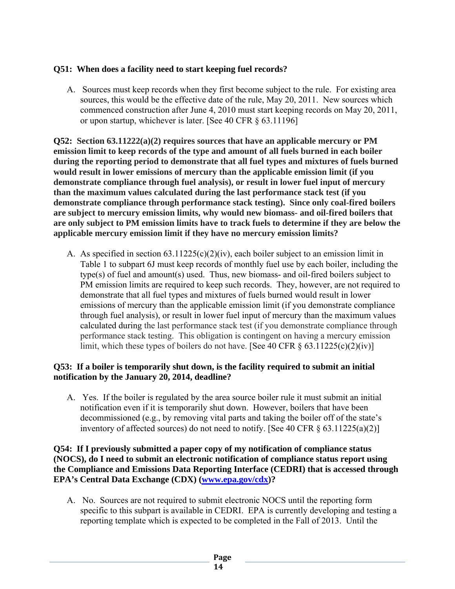## **Q51: When does a facility need to start keeping fuel records?**

A. Sources must keep records when they first become subject to the rule. For existing area sources, this would be the effective date of the rule, May 20, 2011. New sources which commenced construction after June 4, 2010 must start keeping records on May 20, 2011, or upon startup, whichever is later. [See 40 CFR § 63.11196]

**Q52: Section 63.11222(a)(2) requires sources that have an applicable mercury or PM emission limit to keep records of the type and amount of all fuels burned in each boiler during the reporting period to demonstrate that all fuel types and mixtures of fuels burned would result in lower emissions of mercury than the applicable emission limit (if you demonstrate compliance through fuel analysis), or result in lower fuel input of mercury than the maximum values calculated during the last performance stack test (if you demonstrate compliance through performance stack testing). Since only coal-fired boilers are subject to mercury emission limits, why would new biomass- and oil-fired boilers that are only subject to PM emission limits have to track fuels to determine if they are below the applicable mercury emission limit if they have no mercury emission limits?** 

A. As specified in section  $63.11225(c)(2)(iv)$ , each boiler subject to an emission limit in Table 1 to subpart 6J must keep records of monthly fuel use by each boiler, including the type(s) of fuel and amount(s) used. Thus, new biomass- and oil-fired boilers subject to PM emission limits are required to keep such records. They, however, are not required to demonstrate that all fuel types and mixtures of fuels burned would result in lower emissions of mercury than the applicable emission limit (if you demonstrate compliance through fuel analysis), or result in lower fuel input of mercury than the maximum values calculated during the last performance stack test (if you demonstrate compliance through performance stack testing.This obligation is contingent on having a mercury emission limit, which these types of boilers do not have. [See 40 CFR  $\S$  63.11225(c)(2)(iv)]

#### **Q53: If a boiler is temporarily shut down, is the facility required to submit an initial notification by the January 20, 2014, deadline?**

A. Yes. If the boiler is regulated by the area source boiler rule it must submit an initial notification even if it is temporarily shut down. However, boilers that have been decommissioned (e.g., by removing vital parts and taking the boiler off of the state's inventory of affected sources) do not need to notify. [See 40 CFR § 63.11225(a)(2)]

**Q54: If I previously submitted a paper copy of my notification of compliance status (NOCS), do I need to submit an electronic notification of compliance status report using the Compliance and Emissions Data Reporting Interface (CEDRI) that is accessed through EPA's Central Data Exchange (CDX) (www.epa.gov/cdx)?** 

A. No. Sources are not required to submit electronic NOCS until the reporting form specific to this subpart is available in CEDRI. EPA is currently developing and testing a reporting template which is expected to be completed in the Fall of 2013. Until the